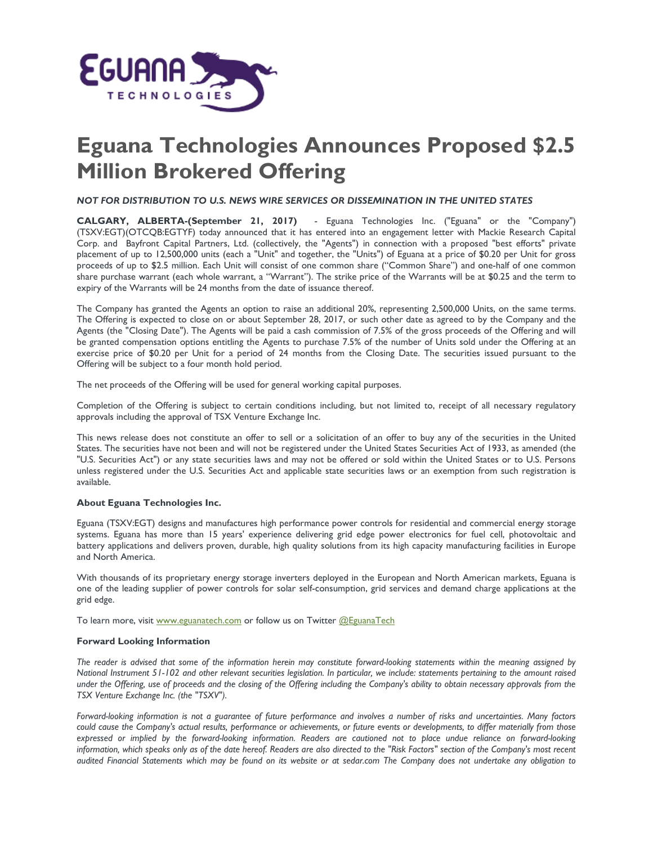

## **Eguana Technologies Announces Proposed \$2.5 Million Brokered Offering**

*NOT FOR DISTRIBUTION TO U.S. NEWS WIRE SERVICES OR DISSEMINATION IN THE UNITED STATES*

**CALGARY, ALBERTA-(September 21, 2017)** - Eguana Technologies Inc. ("Eguana" or the "Company") (TSXV:EGT)(OTCQB:EGTYF) today announced that it has entered into an engagement letter with Mackie Research Capital Corp. and Bayfront Capital Partners, Ltd. (collectively, the "Agents") in connection with a proposed "best efforts" private placement of up to 12,500,000 units (each a "Unit" and together, the "Units") of Eguana at a price of \$0.20 per Unit for gross proceeds of up to \$2.5 million. Each Unit will consist of one common share ("Common Share") and one-half of one common share purchase warrant (each whole warrant, a "Warrant"). The strike price of the Warrants will be at \$0.25 and the term to expiry of the Warrants will be 24 months from the date of issuance thereof.

The Company has granted the Agents an option to raise an additional 20%, representing 2,500,000 Units, on the same terms. The Offering is expected to close on or about September 28, 2017, or such other date as agreed to by the Company and the Agents (the "Closing Date"). The Agents will be paid a cash commission of 7.5% of the gross proceeds of the Offering and will be granted compensation options entitling the Agents to purchase 7.5% of the number of Units sold under the Offering at an exercise price of \$0.20 per Unit for a period of 24 months from the Closing Date. The securities issued pursuant to the Offering will be subject to a four month hold period.

The net proceeds of the Offering will be used for general working capital purposes.

Completion of the Offering is subject to certain conditions including, but not limited to, receipt of all necessary regulatory approvals including the approval of TSX Venture Exchange Inc.

This news release does not constitute an offer to sell or a solicitation of an offer to buy any of the securities in the United States. The securities have not been and will not be registered under the United States Securities Act of 1933, as amended (the "U.S. Securities Act") or any state securities laws and may not be offered or sold within the United States or to U.S. Persons unless registered under the U.S. Securities Act and applicable state securities laws or an exemption from such registration is available.

## **About Eguana Technologies Inc.**

Eguana (TSXV:EGT) designs and manufactures high performance power controls for residential and commercial energy storage systems. Eguana has more than 15 years' experience delivering grid edge power electronics for fuel cell, photovoltaic and battery applications and delivers proven, durable, high quality solutions from its high capacity manufacturing facilities in Europe and North America.

With thousands of its proprietary energy storage inverters deployed in the European and North American markets, Eguana is one of the leading supplier of power controls for solar self-consumption, grid services and demand charge applications at the grid edge.

To learn more, visit [www.eguanatech.com](http://www.eguanatech.com/) or follow us on Twitter [@EguanaTech](https://twitter.com/EguanaTech)

## **Forward Looking Information**

*The reader is advised that some of the information herein may constitute forward-looking statements within the meaning assigned by National Instrument 51-102 and other relevant securities legislation. In particular, we include: statements pertaining to the amount raised under the Offering, use of proceeds and the closing of the Offering including the Company's ability to obtain necessary approvals from the TSX Venture Exchange Inc. (the "TSXV").*

*Forward-looking information is not a guarantee of future performance and involves a number of risks and uncertainties. Many factors could cause the Company's actual results, performance or achievements, or future events or developments, to differ materially from those expressed or implied by the forward-looking information. Readers are cautioned not to place undue reliance on forward-looking information, which speaks only as of the date hereof. Readers are also directed to the "Risk Factors" section of the Company's most recent audited Financial Statements which may be found on its website or at sedar.com The Company does not undertake any obligation to*